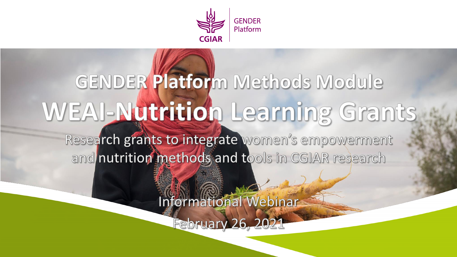

# GENDER Platform Methods Module WEAI-Nutrition Learning Grants

Research grants to integrate women's empowerment and nutrition methods and tools in CGIAR research

Informational Webinar

North Company

February 26, 2021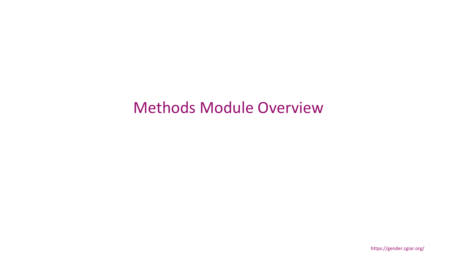# Methods Module Overview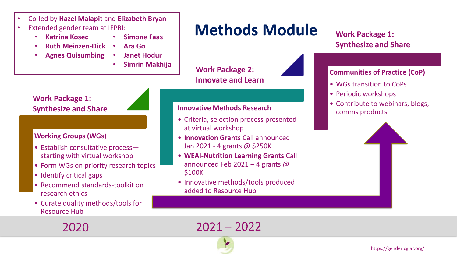- Co-led by **Hazel Malapit** and **Elizabeth Bryan**
- Extended gender team at IFPRI:
	- **Katrina Kosec**
- **Simone Faas** • **Ara Go**
- **Ruth Meinzen-Dick**
- **Agnes Quisumbing**
	- **Janet Hodur**
		-

# **Methods Module**

• **Simrin Makhija Work Package 2: Innovate and Learn**

### **Work Package 1: Synthesize and Share**



### **Working Groups (WGs)**

- Establish consultative process starting with virtual workshop
- Form WGs on priority research topics
- Identify critical gaps
- Recommend standards-toolkit on research ethics
- Curate quality methods/tools for Resource Hub

#### **Innovative Methods Research**

- Criteria, selection process presented at virtual workshop
- **Innovation Grants** Call announced Jan 2021 - 4 grants @ \$250K
- **WEAI-Nutrition Learning Grants** Call announced Feb 2021 – 4 grants @ \$100K
- Innovative methods/tools produced added to Resource Hub

### **Work Package 1: Synthesize and Share**

### **Communities of Practice (CoP)**

- WGs transition to CoPs
- Periodic workshops
- Contribute to webinars, blogs, comms products



2020

 $2021 - 2022$ 



https://gender.cgiar.org/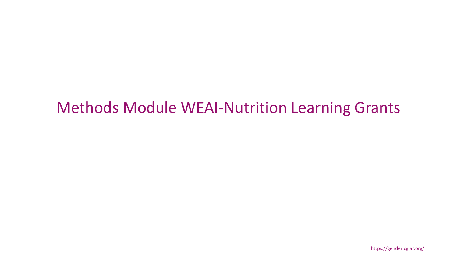# Methods Module WEAI-Nutrition Learning Grants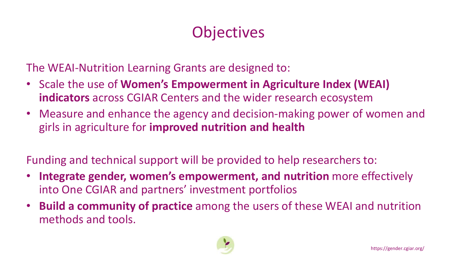# **Objectives**

The WEAI-Nutrition Learning Grants are designed to:

- Scale the use of **Women's Empowerment in Agriculture Index (WEAI) indicators** across CGIAR Centers and the wider research ecosystem
- Measure and enhance the agency and decision-making power of women and girls in agriculture for **improved nutrition and health**

Funding and technical support will be provided to help researchers to:

- **Integrate gender, women's empowerment, and nutrition** more effectively into One CGIAR and partners' investment portfolios
- **Build a community of practice** among the users of these WEAI and nutrition methods and tools.

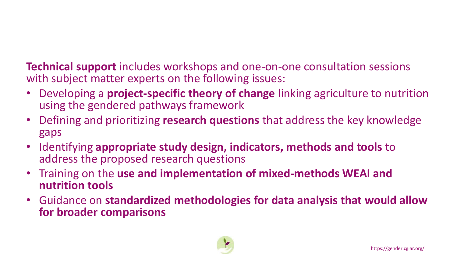**Technical support** includes workshops and one-on-one consultation sessions with subject matter experts on the following issues:

- Developing a **project-specific theory of change** linking agriculture to nutrition using the gendered pathways framework
- Defining and prioritizing **research questions** that address the key knowledge gaps
- Identifying **appropriate study design, indicators, methods and tools** to address the proposed research questions
- Training on the **use and implementation of mixed-methods WEAI and nutrition tools**
- Guidance on **standardized methodologies for data analysis that would allow for broader comparisons**

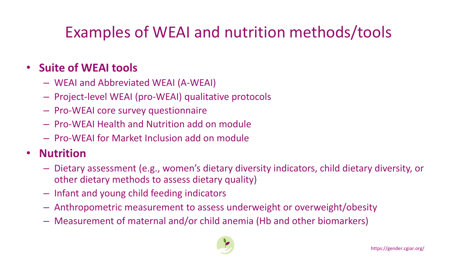# Examples of WEAI and nutrition methods/tools

### • **Suite of WEAI tools**

- WEAI and Abbreviated WEAI (A-WEAI)
- Project-level WEAI (pro-WEAI) qualitative protocols
- Pro-WEAI core survey questionnaire
- Pro-WEAI Health and Nutrition add on module
- Pro-WEAI for Market Inclusion add on module

### • **Nutrition**

- Dietary assessment (e.g., women's dietary diversity indicators, child dietary diversity, or other dietary methods to assess dietary quality)
- Infant and young child feeding indicators
- Anthropometric measurement to assess underweight or overweight/obesity
- Measurement of maternal and/or child anemia (Hb and other biomarkers)

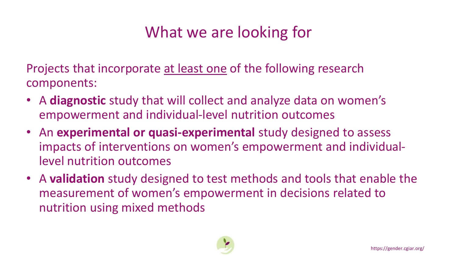# What we are looking for

Projects that incorporate at least one of the following research components:

- A **diagnostic** study that will collect and analyze data on women's empowerment and individual-level nutrition outcomes
- An **experimental or quasi-experimental** study designed to assess impacts of interventions on women's empowerment and individuallevel nutrition outcomes
- A **validation** study designed to test methods and tools that enable the measurement of women's empowerment in decisions related to nutrition using mixed methods

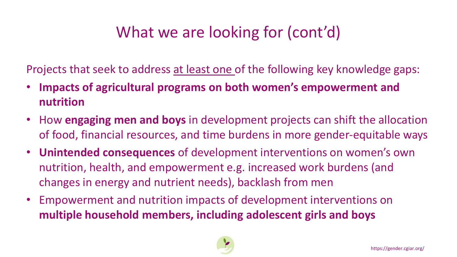# What we are looking for (cont'd)

Projects that seek to address at least one of the following key knowledge gaps:

- **Impacts of agricultural programs on both women's empowerment and nutrition**
- How **engaging men and boys** in development projects can shift the allocation of food, financial resources, and time burdens in more gender-equitable ways
- **Unintended consequences** of development interventions on women's own nutrition, health, and empowerment e.g. increased work burdens (and changes in energy and nutrient needs), backlash from men
- Empowerment and nutrition impacts of development interventions on **multiple household members, including adolescent girls and boys**

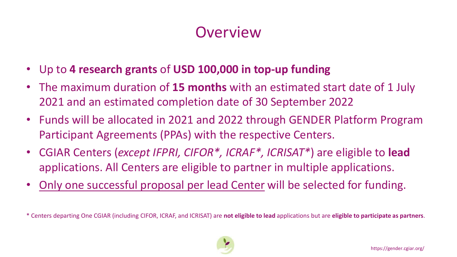# **Overview**

- Up to **4 research grants** of **USD 100,000 in top-up funding**
- The maximum duration of **15 months** with an estimated start date of 1 July 2021 and an estimated completion date of 30 September 2022
- Funds will be allocated in 2021 and 2022 through GENDER Platform Program Participant Agreements (PPAs) with the respective Centers.
- CGIAR Centers (*except IFPRI, CIFOR\*, ICRAF\*, ICRISAT\**) are eligible to **lead** applications. All Centers are eligible to partner in multiple applications.
- Only one successful proposal per lead Center will be selected for funding.

\* Centers departing One CGIAR (including CIFOR, ICRAF, and ICRISAT) are **not eligible to lead** applications but are **eligible to participate as partners**.

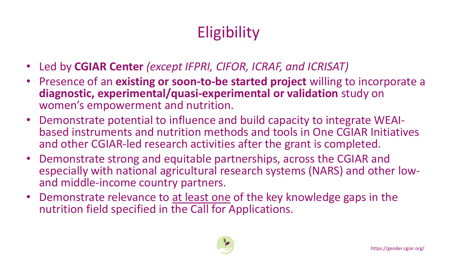# **Eligibility**

- Led by **CGIAR Center** *(except IFPRI, CIFOR, ICRAF, and ICRISAT)*
- Presence of an **existing or soon-to-be started project** willing to incorporate a **diagnostic, experimental/quasi-experimental or validation** study on women's empowerment and nutrition.
- Demonstrate potential to influence and build capacity to integrate WEAIbased instruments and nutrition methods and tools in One CGIAR Initiatives and other CGIAR-led research activities after the grant is completed.
- Demonstrate strong and equitable partnerships, across the CGIAR and especially with national agricultural research systems (NARS) and other lowand middle-income country partners.
- Demonstrate relevance to at least one of the key knowledge gaps in the nutrition field specified in the Call for Applications.

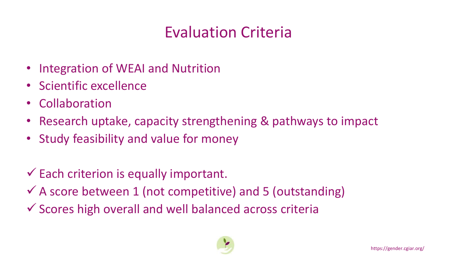# Evaluation Criteria

- Integration of WEAI and Nutrition
- Scientific excellence
- Collaboration
- Research uptake, capacity strengthening & pathways to impact
- Study feasibility and value for money
- $\checkmark$  Each criterion is equally important.
- $\checkmark$  A score between 1 (not competitive) and 5 (outstanding)
- ✓ Scores high overall and well balanced across criteria

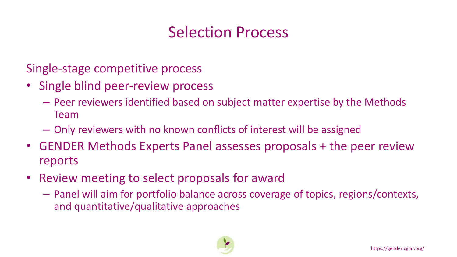# Selection Process

Single-stage competitive process

- Single blind peer-review process
	- Peer reviewers identified based on subject matter expertise by the Methods Team
	- Only reviewers with no known conflicts of interest will be assigned
- GENDER Methods Experts Panel assesses proposals + the peer review reports
- Review meeting to select proposals for award
	- Panel will aim for portfolio balance across coverage of topics, regions/contexts, and quantitative/qualitative approaches

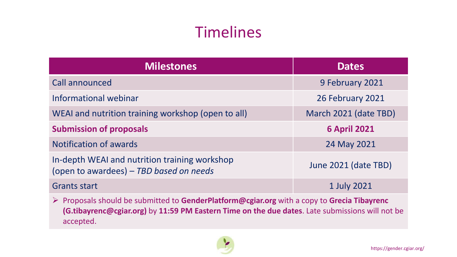# Timelines

| <b>Milestones</b>                                                                        | <b>Dates</b>          |
|------------------------------------------------------------------------------------------|-----------------------|
| Call announced                                                                           | 9 February 2021       |
| Informational webinar                                                                    | 26 February 2021      |
| WEAI and nutrition training workshop (open to all)                                       | March 2021 (date TBD) |
| <b>Submission of proposals</b>                                                           | <b>6 April 2021</b>   |
| <b>Notification of awards</b>                                                            | 24 May 2021           |
| In-depth WEAI and nutrition training workshop<br>(open to awardees) - TBD based on needs | June 2021 (date TBD)  |
| <b>Grants start</b>                                                                      | 1 July 2021           |

➢ Proposals should be submitted to **GenderPlatform@cgiar.org** with a copy to **Grecia Tibayrenc (G.tibayrenc@cgiar.org)** by **11:59 PM Eastern Time on the due dates**. Late submissions will not be accepted.